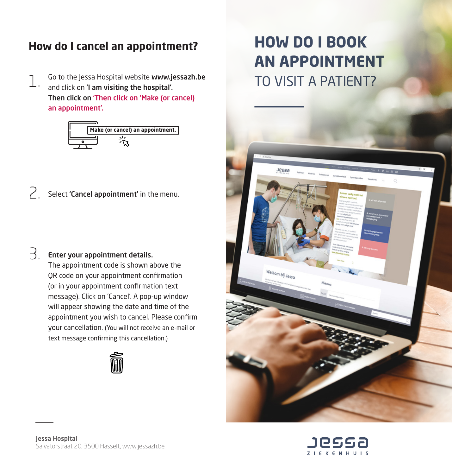## **How do I cancel an appointment?**

Go to the Jessa Hospital website www.jessazh.be TO VISIT A PATIFNT? and click on 'I am visiting the hospital'. Then click on 'Then click on 'Make (or cancel) an appointment'. 1.



 $\sum$ , Select 'Cancel appointment' in the menu.

## Enter your appointment details. 3.

The appointment code is shown above the QR code on your appointment confirmation (or in your appointment confirmation text message). Click on 'Cancel'. A pop-up window will appear showing the date and time of the appointment you wish to cancel. Please confirm your cancellation. (You will not receive an e-mail or text message confirming this cancellation.)



## **HOW DO I BOOK AN APPOINTMENT**



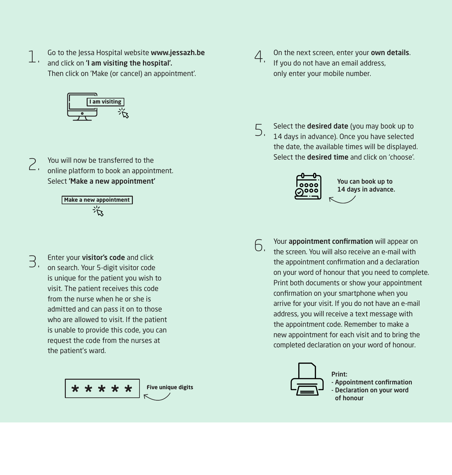Go to the Jessa Hospital website www.jessazh.be  $\begin{array}{c} \begin{array}{c} \text{T} \end{array} \end{array}$  and click on **'I am visiting the hospital'.**<br> $\begin{array}{ccc} \text{and click on 'I am visiting the hospital'. \end{array}$ Then click on 'Make (or cancel) an appointment'.



You will now be transferred to the online platform to book an appointment. Select 'Make a new appointment' 2.

**Make a new appointment**

- 3.
- Enter your visitor's code and click on search. Your 5-digit visitor code is unique for the patient you wish to visit. The patient receives this code from the nurse when he or she is admitted and can pass it on to those who are allowed to visit. If the patient is unable to provide this code, you can request the code from the nurses at the patient's ward.





On the next screen, enter your own details. If you do not have an email address, only enter your mobile number.

Select the **desired date** (you may book up to  $5<sup>14</sup>$  days in advance). Once you have selected the date, the available times will be displayed. Select the **desired time** and click on 'choose'.



You can book up to 14 days in advance.

6.

Your **appointment confirmation** will appear on the screen. You will also receive an e-mail with the appointment confirmation and a declaration on your word of honour that you need to complete. Print both documents or show your appointment confirmation on your smartphone when you arrive for your visit. If you do not have an e-mail address, you will receive a text message with the appointment code. Remember to make a new appointment for each visit and to bring the completed declaration on your word of honour.



Print:

- Appointment confirmation
- Declaration on your word of honour